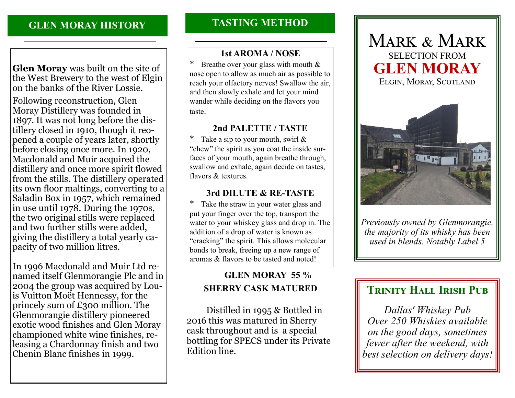# **GLEN MORAY HISTORY**

**Glen Moray** was built on the site of the West Brewery to the west of Elgin on the banks of the River Lossie.

Following reconstruction, Glen Moray Distillery was founded in 1897. It was not long before the distillery closed in 1910, though it reopened a couple of years later, shortly before closing once more. In 1920, Macdonald and Muir acquired the distillery and once more spirit flowed from the stills. The distillery operated its own floor maltings, converting to a Saladin Box in 1957, which remained in use until 1978. During the 1970s, the two original stills were replaced and two further stills were added, giving the distillery a total yearly capacity of two million litres.

In 1996 Macdonald and Muir Ltd renamed itself Glenmorangie Plc and in 2004 the group was acquired by Louis Vuitton Moët Hennessy, for the princely sum of £300 million. The Glenmorangie distillery pioneered exotic wood finishes and Glen Moray championed white wine finishes, releasing a Chardonnay finish and two Chenin Blanc finishes in 1999.

# **TASTING METHOD**

#### **1st AROMA / NOSE**

Breathe over your glass with mouth  $&$ nose open to allow as much air as possible to reach your olfactory nerves! Swallow the air, and then slowly exhale and let your mind wander while deciding on the flavors you taste.

#### **2nd PALETTE / TASTE**

Take a sip to your mouth, swirl  $\&$ "chew" the spirit as you coat the inside surfaces of your mouth, again breathe through, swallow and exhale, again decide on tastes, flavors & textures.

#### **3rd DILUTE & RE-TASTE**

\* Take the straw in your water glass and put your finger over the top, transport the water to your whiskey glass and drop in. The addition of a drop of water is known as "cracking" the spirit. This allows molecular bonds to break, freeing up a new range of aromas & flavors to be tasted and noted!

# **GLEN MORAY 55 % SHERRY CASK MATURED**

 Distilled in 1995 & Bottled in 2016 this was matured in Sherry cask throughout and is a special bottling for SPECS under its Private Edition line.





*Previously owned by Glenmorangie, the majority of its whisky has been used in blends. Notably Label 5*

# **TRINITY HALL IRISH PUB**

*Dallas' Whiskey Pub Over 250 Whiskies available on the good days, sometimes fewer after the weekend, with best selection on delivery days!*